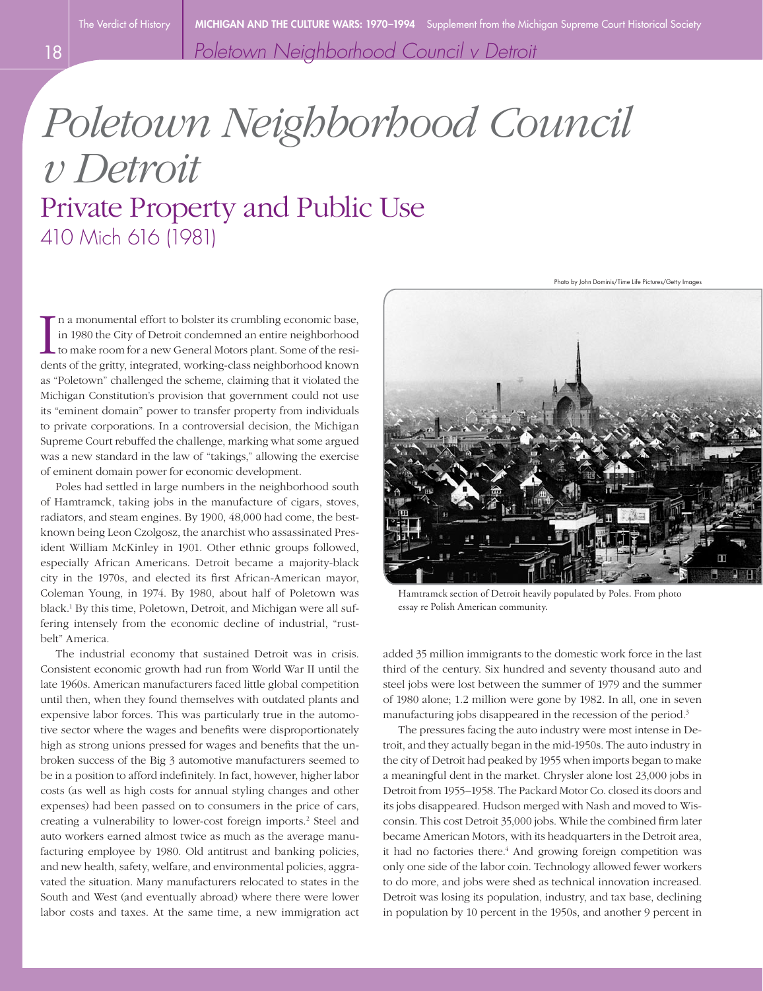18

*Poletown Neighborhood Council v Detroit*

## *Poletown Neighborhood Council v Detroit* Private Property and Public Use 410 Mich 616 (1981)

In a monumental effort to bolster its crumbling economic base, in 1980 the City of Detroit condemned an entire neighborhood to make room for a new General Motors plant. Some of the residents of the gritty, integrated, work n a monumental effort to bolster its crumbling economic base, in 1980 the City of Detroit condemned an entire neighborhood to make room for a new General Motors plant. Some of the resias "Poletown" challenged the scheme, claiming that it violated the Michigan Constitution's provision that government could not use its "eminent domain" power to transfer property from individuals to private corporations. In a controversial decision, the Michigan Supreme Court rebuffed the challenge, marking what some argued was a new standard in the law of "takings," allowing the exercise of eminent domain power for economic development.

Poles had settled in large numbers in the neighborhood south of Hamtramck, taking jobs in the manufacture of cigars, stoves, radiators, and steam engines. By 1900, 48,000 had come, the bestknown being Leon Czolgosz, the anarchist who assassinated President William McKinley in 1901. Other ethnic groups followed, especially African Americans. Detroit became a majority-black city in the 1970s, and elected its first African-American mayor, Coleman Young, in 1974. By 1980, about half of Poletown was black.1 By this time, Poletown, Detroit, and Michigan were all suffering intensely from the economic decline of industrial, "rustbelt" America.

The industrial economy that sustained Detroit was in crisis. Consistent economic growth had run from World War II until the late 1960s. American manufacturers faced little global competition until then, when they found themselves with outdated plants and expensive labor forces. This was particularly true in the automotive sector where the wages and benefits were disproportionately high as strong unions pressed for wages and benefits that the unbroken success of the Big 3 automotive manufacturers seemed to be in a position to afford indefinitely. In fact, however, higher labor costs (as well as high costs for annual styling changes and other expenses) had been passed on to consumers in the price of cars, creating a vulnerability to lower-cost foreign imports.<sup>2</sup> Steel and auto workers earned almost twice as much as the average manufacturing employee by 1980. Old antitrust and banking policies, and new health, safety, welfare, and environmental policies, aggravated the situation. Many manufacturers relocated to states in the South and West (and eventually abroad) where there were lower labor costs and taxes. At the same time, a new immigration act



Hamtramck section of Detroit heavily populated by Poles. From photo essay re Polish American community.

added 35 million immigrants to the domestic work force in the last third of the century. Six hundred and seventy thousand auto and steel jobs were lost between the summer of 1979 and the summer of 1980 alone; 1.2 million were gone by 1982. In all, one in seven manufacturing jobs disappeared in the recession of the period.3

The pressures facing the auto industry were most intense in Detroit, and they actually began in the mid-1950s. The auto industry in the city of Detroit had peaked by 1955 when imports began to make a meaningful dent in the market. Chrysler alone lost 23,000 jobs in Detroit from 1955–1958. The Packard Motor Co. closed its doors and its jobs disappeared. Hudson merged with Nash and moved to Wisconsin. This cost Detroit 35,000 jobs. While the combined firm later became American Motors, with its headquarters in the Detroit area, it had no factories there.<sup>4</sup> And growing foreign competition was only one side of the labor coin. Technology allowed fewer workers to do more, and jobs were shed as technical innovation increased. Detroit was losing its population, industry, and tax base, declining in population by 10 percent in the 1950s, and another 9 percent in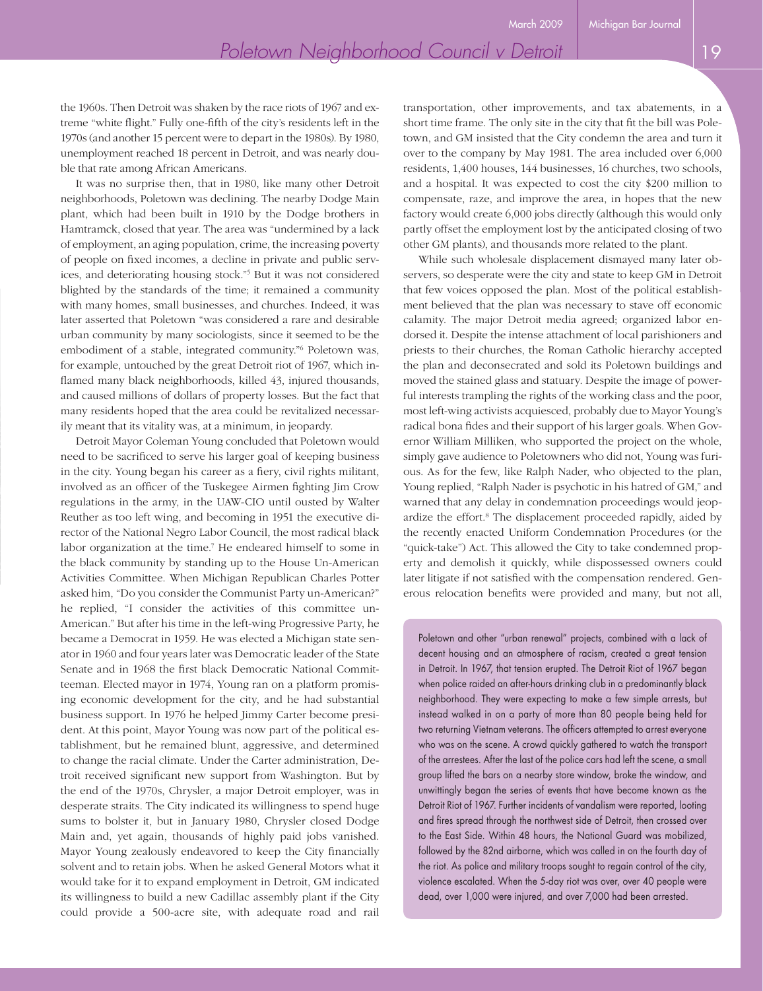the 1960s. Then Detroit was shaken by the race riots of 1967 and extreme "white flight." Fully one-fifth of the city's residents left in the 1970s (and another 15 percent were to depart in the 1980s). By 1980, unemployment reached 18 percent in Detroit, and was nearly double that rate among African Americans.

It was no surprise then, that in 1980, like many other Detroit neighborhoods, Poletown was declining. The nearby Dodge Main plant, which had been built in 1910 by the Dodge brothers in Hamtramck, closed that year. The area was "undermined by a lack of employment, an aging population, crime, the increasing poverty of people on fixed incomes, a decline in private and public services, and deteriorating housing stock."5 But it was not considered blighted by the standards of the time; it remained a community with many homes, small businesses, and churches. Indeed, it was later asserted that Poletown "was considered a rare and desirable urban community by many sociologists, since it seemed to be the embodiment of a stable, integrated community."6 Poletown was, for example, untouched by the great Detroit riot of 1967, which inflamed many black neighborhoods, killed 43, injured thousands, and caused millions of dollars of property losses. But the fact that many residents hoped that the area could be revitalized necessarily meant that its vitality was, at a minimum, in jeopardy.

Detroit Mayor Coleman Young concluded that Poletown would need to be sacrificed to serve his larger goal of keeping business in the city. Young began his career as a fiery, civil rights militant, involved as an officer of the Tuskegee Airmen fighting Jim Crow regulations in the army, in the UAW-CIO until ousted by Walter Reuther as too left wing, and becoming in 1951 the executive director of the National Negro Labor Council, the most radical black labor organization at the time.<sup>7</sup> He endeared himself to some in the black community by standing up to the House Un-American Activities Committee. When Michigan Republican Charles Potter asked him, "Do you consider the Communist Party un-American?" he replied, "I consider the activities of this committee un-American." But after his time in the left-wing Progressive Party, he became a Democrat in 1959. He was elected a Michigan state senator in 1960 and four years later was Democratic leader of the State Senate and in 1968 the first black Democratic National Committeeman. Elected mayor in 1974, Young ran on a platform promising economic development for the city, and he had substantial business support. In 1976 he helped Jimmy Carter become president. At this point, Mayor Young was now part of the political establishment, but he remained blunt, aggressive, and determined to change the racial climate. Under the Carter administration, Detroit received significant new support from Washington. But by the end of the 1970s, Chrysler, a major Detroit employer, was in desperate straits. The City indicated its willingness to spend huge sums to bolster it, but in January 1980, Chrysler closed Dodge Main and, yet again, thousands of highly paid jobs vanished. Mayor Young zealously endeavored to keep the City financially solvent and to retain jobs. When he asked General Motors what it would take for it to expand employment in Detroit, GM indicated its willingness to build a new Cadillac assembly plant if the City could provide a 500-acre site, with adequate road and rail

transportation, other improvements, and tax abatements, in a short time frame. The only site in the city that fit the bill was Poletown, and GM insisted that the City condemn the area and turn it over to the company by May 1981. The area included over 6,000 residents, 1,400 houses, 144 businesses, 16 churches, two schools, and a hospital. It was expected to cost the city \$200 million to compensate, raze, and improve the area, in hopes that the new factory would create 6,000 jobs directly (although this would only partly offset the employment lost by the anticipated closing of two other GM plants), and thousands more related to the plant.

While such wholesale displacement dismayed many later observers, so desperate were the city and state to keep GM in Detroit that few voices opposed the plan. Most of the political establishment believed that the plan was necessary to stave off economic calamity. The major Detroit media agreed; organized labor endorsed it. Despite the intense attachment of local parishioners and priests to their churches, the Roman Catholic hierarchy accepted the plan and deconsecrated and sold its Poletown buildings and moved the stained glass and statuary. Despite the image of powerful interests trampling the rights of the working class and the poor, most left-wing activists acquiesced, probably due to Mayor Young's radical bona fides and their support of his larger goals. When Governor William Milliken, who supported the project on the whole, simply gave audience to Poletowners who did not, Young was furious. As for the few, like Ralph Nader, who objected to the plan, Young replied, "Ralph Nader is psychotic in his hatred of GM," and warned that any delay in condemnation proceedings would jeopardize the effort.<sup>8</sup> The displacement proceeded rapidly, aided by the recently enacted Uniform Condemnation Procedures (or the "quick-take") Act. This allowed the City to take condemned property and demolish it quickly, while dispossessed owners could later litigate if not satisfied with the compensation rendered. Generous relocation benefits were provided and many, but not all,

Poletown and other "urban renewal" projects, combined with a lack of decent housing and an atmosphere of racism, created a great tension in Detroit. In 1967, that tension erupted. The Detroit Riot of 1967 began when police raided an after-hours drinking club in a predominantly black neighborhood. They were expecting to make a few simple arrests, but instead walked in on a party of more than 80 people being held for two returning Vietnam veterans. The officers attempted to arrest everyone who was on the scene. A crowd quickly gathered to watch the transport of the arrestees. After the last of the police cars had left the scene, a small group lifted the bars on a nearby store window, broke the window, and unwittingly began the series of events that have become known as the Detroit Riot of 1967. Further incidents of vandalism were reported, looting and fires spread through the northwest side of Detroit, then crossed over to the East Side. Within 48 hours, the National Guard was mobilized, followed by the 82nd airborne, which was called in on the fourth day of the riot. As police and military troops sought to regain control of the city, violence escalated. When the 5-day riot was over, over 40 people were dead, over 1,000 were injured, and over 7,000 had been arrested.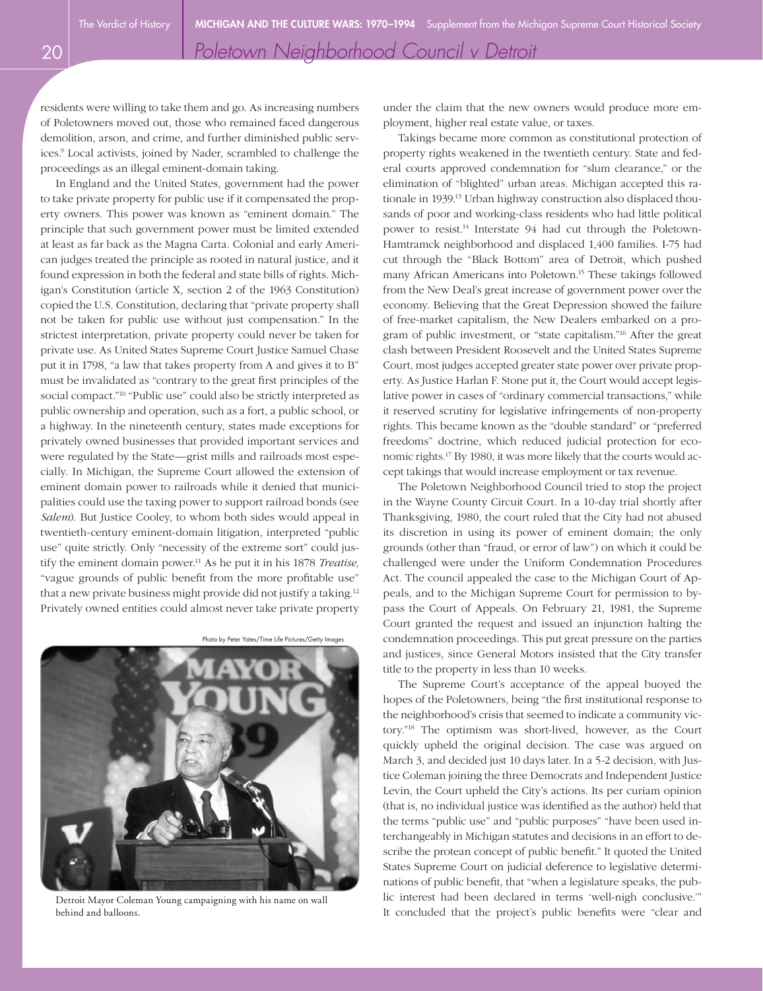## *Poletown Neighborhood Council v Detroit*

residents were willing to take them and go. As increasing numbers of Poletowners moved out, those who remained faced dangerous demolition, arson, and crime, and further diminished public services.9 Local activists, joined by Nader, scrambled to challenge the proceedings as an illegal eminent-domain taking.

In England and the United States, government had the power to take private property for public use if it compensated the property owners. This power was known as "eminent domain." The principle that such government power must be limited extended at least as far back as the Magna Carta. Colonial and early American judges treated the principle as rooted in natural justice, and it found expression in both the federal and state bills of rights. Michigan's Constitution (article X, section 2 of the 1963 Constitution) copied the U.S. Constitution, declaring that "private property shall not be taken for public use without just compensation." In the strictest interpretation, private property could never be taken for private use. As United States Supreme Court Justice Samuel Chase put it in 1798, "a law that takes property from A and gives it to B" must be invalidated as "contrary to the great first principles of the social compact."<sup>10</sup> "Public use" could also be strictly interpreted as public ownership and operation, such as a fort, a public school, or a highway. In the nineteenth century, states made exceptions for privately owned businesses that provided important services and were regulated by the State—grist mills and railroads most especially. In Michigan, the Supreme Court allowed the extension of eminent domain power to railroads while it denied that municipalities could use the taxing power to support railroad bonds (see *Salem*). But Justice Cooley, to whom both sides would appeal in twentieth-century eminent-domain litigation, interpreted "public use" quite strictly. Only "necessity of the extreme sort" could justify the eminent domain power.11 As he put it in his 1878 *Treatise,*  "vague grounds of public benefit from the more profitable use" that a new private business might provide did not justify a taking.<sup>12</sup> Privately owned entities could almost never take private property



Detroit Mayor Coleman Young campaigning with his name on wall behind and balloons.

under the claim that the new owners would produce more employment, higher real estate value, or taxes.

Takings became more common as constitutional protection of property rights weakened in the twentieth century. State and federal courts approved condemnation for "slum clearance," or the elimination of "blighted" urban areas. Michigan accepted this rationale in 1939.13 Urban highway construction also displaced thousands of poor and working-class residents who had little political power to resist.<sup>14</sup> Interstate 94 had cut through the Poletown-Hamtramck neighborhood and displaced 1,400 families. I-75 had cut through the "Black Bottom" area of Detroit, which pushed many African Americans into Poletown.15 These takings followed from the New Deal's great increase of government power over the economy. Believing that the Great Depression showed the failure of free-market capitalism, the New Dealers embarked on a program of public investment, or "state capitalism."16 After the great clash between President Roosevelt and the United States Supreme Court, most judges accepted greater state power over private property. As Justice Harlan F. Stone put it, the Court would accept legislative power in cases of "ordinary commercial transactions," while it reserved scrutiny for legislative infringements of non-property rights. This became known as the "double standard" or "preferred freedoms" doctrine, which reduced judicial protection for economic rights.17 By 1980, it was more likely that the courts would accept takings that would increase employment or tax revenue.

The Poletown Neighborhood Council tried to stop the project in the Wayne County Circuit Court. In a 10-day trial shortly after Thanksgiving, 1980, the court ruled that the City had not abused its discretion in using its power of eminent domain; the only grounds (other than "fraud, or error of law") on which it could be challenged were under the Uniform Condemnation Procedures Act. The council appealed the case to the Michigan Court of Appeals, and to the Michigan Supreme Court for permission to bypass the Court of Appeals. On February 21, 1981, the Supreme Court granted the request and issued an injunction halting the condemnation proceedings. This put great pressure on the parties and justices, since General Motors insisted that the City transfer title to the property in less than 10 weeks.

The Supreme Court's acceptance of the appeal buoyed the hopes of the Poletowners, being "the first institutional response to the neighborhood's crisis that seemed to indicate a community victory."18 The optimism was short-lived, however, as the Court quickly upheld the original decision. The case was argued on March 3, and decided just 10 days later. In a 5-2 decision, with Justice Coleman joining the three Democrats and Independent Justice Levin, the Court upheld the City's actions. Its per curiam opinion (that is, no individual justice was identified as the author) held that the terms "public use" and "public purposes" "have been used interchangeably in Michigan statutes and decisions in an effort to describe the protean concept of public benefit." It quoted the United States Supreme Court on judicial deference to legislative determinations of public benefit, that "when a legislature speaks, the public interest had been declared in terms 'well-nigh conclusive.'" It concluded that the project's public benefits were "clear and

20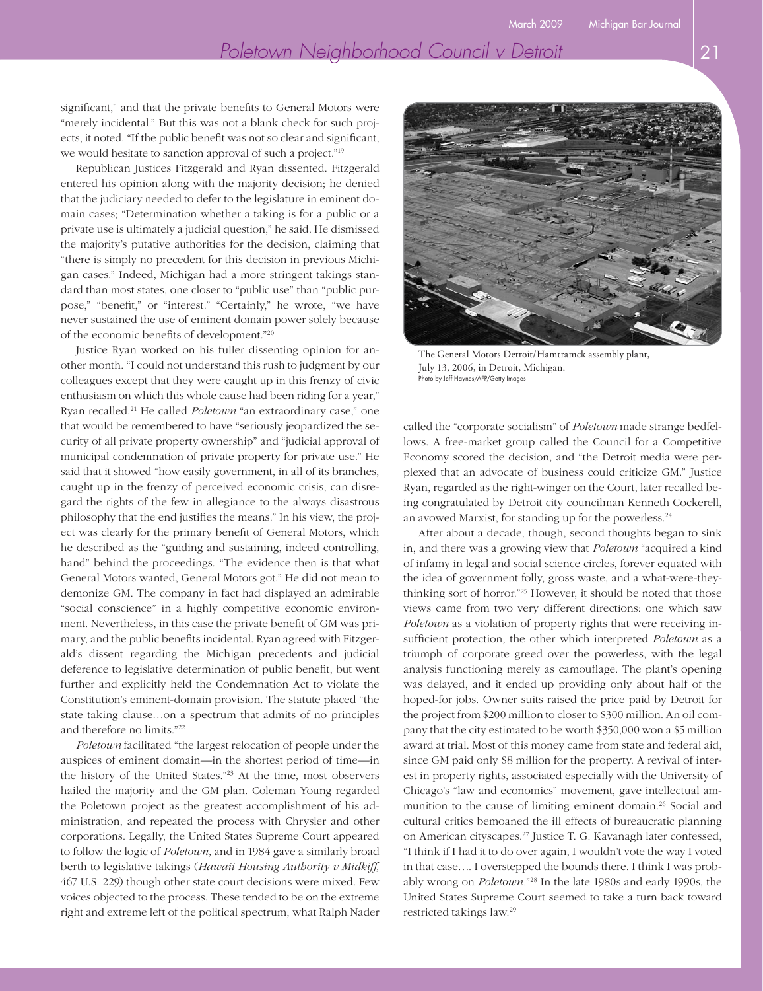significant," and that the private benefits to General Motors were "merely incidental." But this was not a blank check for such projects, it noted. "If the public benefit was not so clear and significant, we would hesitate to sanction approval of such a project."19

Republican Justices Fitzgerald and Ryan dissented. Fitzgerald entered his opinion along with the majority decision; he denied that the judiciary needed to defer to the legislature in eminent domain cases; "Determination whether a taking is for a public or a private use is ultimately a judicial question," he said. He dismissed the majority's putative authorities for the decision, claiming that "there is simply no precedent for this decision in previous Michigan cases." Indeed, Michigan had a more stringent takings standard than most states, one closer to "public use" than "public purpose," "benefit," or "interest." "Certainly," he wrote, "we have never sustained the use of eminent domain power solely because of the economic benefits of development."20

Justice Ryan worked on his fuller dissenting opinion for another month. "I could not understand this rush to judgment by our colleagues except that they were caught up in this frenzy of civic enthusiasm on which this whole cause had been riding for a year," Ryan recalled.21 He called *Poletown* "an extraordinary case," one that would be remembered to have "seriously jeopardized the security of all private property ownership" and "judicial approval of municipal condemnation of private property for private use." He said that it showed "how easily government, in all of its branches, caught up in the frenzy of perceived economic crisis, can disregard the rights of the few in allegiance to the always disastrous philosophy that the end justifies the means." In his view, the project was clearly for the primary benefit of General Motors, which he described as the "guiding and sustaining, indeed controlling, hand" behind the proceedings. "The evidence then is that what General Motors wanted, General Motors got." He did not mean to demonize GM. The company in fact had displayed an admirable "social conscience" in a highly competitive economic environment. Nevertheless, in this case the private benefit of GM was primary, and the public benefits incidental. Ryan agreed with Fitzgerald's dissent regarding the Michigan precedents and judicial deference to legislative determination of public benefit, but went further and explicitly held the Condemnation Act to violate the Constitution's eminent-domain provision. The statute placed "the state taking clause…on a spectrum that admits of no principles and therefore no limits."22

*Poletown* facilitated "the largest relocation of people under the auspices of eminent domain—in the shortest period of time—in the history of the United States."23 At the time, most observers hailed the majority and the GM plan. Coleman Young regarded the Poletown project as the greatest accomplishment of his administration, and repeated the process with Chrysler and other corporations. Legally, the United States Supreme Court appeared to follow the logic of *Poletown,* and in 1984 gave a similarly broad berth to legislative takings (*Hawaii Housing Authority v Midkiff,*  467 U.S. 229) though other state court decisions were mixed. Few voices objected to the process. These tended to be on the extreme right and extreme left of the political spectrum; what Ralph Nader



The General Motors Detroit/Hamtramck assembly plant, July 13, 2006, in Detroit, Michigan. Photo by Jeff Haynes/AFP/Getty Images

called the "corporate socialism" of *Poletown* made strange bedfellows. A free-market group called the Council for a Competitive Economy scored the decision, and "the Detroit media were perplexed that an advocate of business could criticize GM." Justice Ryan, regarded as the right-winger on the Court, later recalled being congratulated by Detroit city councilman Kenneth Cockerell, an avowed Marxist, for standing up for the powerless.<sup>24</sup>

After about a decade, though, second thoughts began to sink in, and there was a growing view that *Poletown* "acquired a kind of infamy in legal and social science circles, forever equated with the idea of government folly, gross waste, and a what-were-theythinking sort of horror."25 However, it should be noted that those views came from two very different directions: one which saw *Poletown* as a violation of property rights that were receiving insufficient protection, the other which interpreted *Poletown* as a triumph of corporate greed over the powerless, with the legal analysis functioning merely as camouflage. The plant's opening was delayed, and it ended up providing only about half of the hoped-for jobs. Owner suits raised the price paid by Detroit for the project from \$200 million to closer to \$300 million. An oil company that the city estimated to be worth \$350,000 won a \$5 million award at trial. Most of this money came from state and federal aid, since GM paid only \$8 million for the property. A revival of interest in property rights, associated especially with the University of Chicago's "law and economics" movement, gave intellectual ammunition to the cause of limiting eminent domain.<sup>26</sup> Social and cultural critics bemoaned the ill effects of bureaucratic planning on American cityscapes.27 Justice T. G. Kavanagh later confessed, "I think if I had it to do over again, I wouldn't vote the way I voted in that case…. I overstepped the bounds there. I think I was probably wrong on *Poletown.*"28 In the late 1980s and early 1990s, the United States Supreme Court seemed to take a turn back toward restricted takings law.29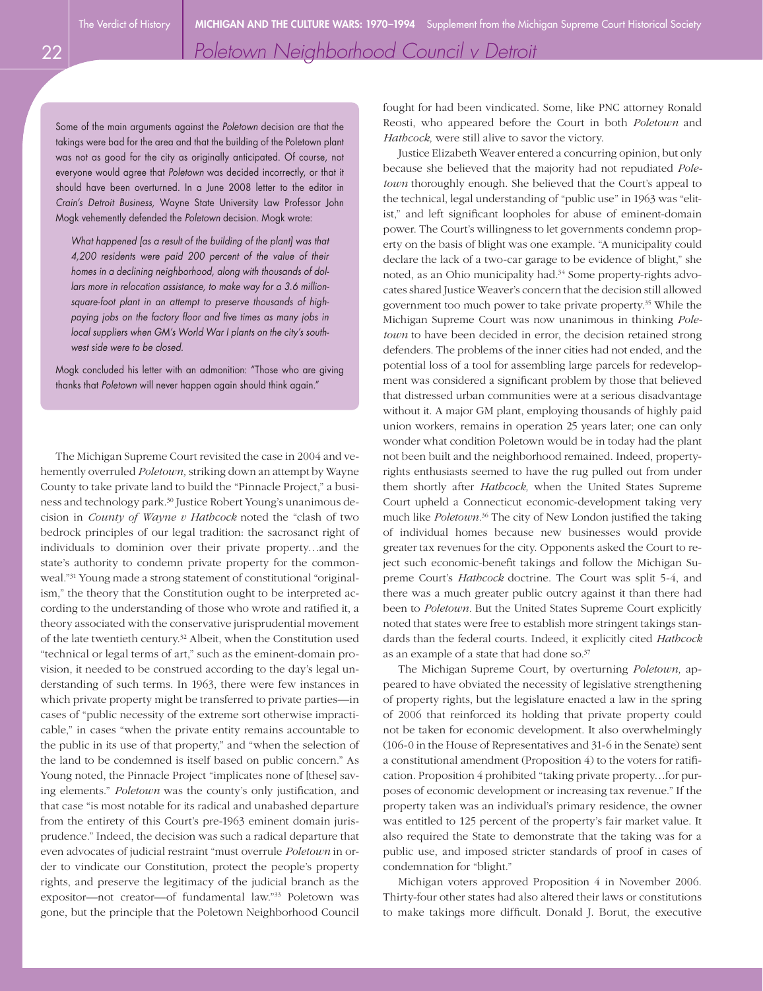## *Poletown Neighborhood Council v Detroit*

Some of the main arguments against the *Poletown* decision are that the takings were bad for the area and that the building of the Poletown plant was not as good for the city as originally anticipated. Of course, not everyone would agree that *Poletown* was decided incorrectly, or that it should have been overturned. In a June 2008 letter to the editor in *Crain's Detroit Business,* Wayne State University Law Professor John Mogk vehemently defended the *Poletown* decision. Mogk wrote:

*What happened [as a result of the building of the plant] was that 4,200 residents were paid 200 percent of the value of their homes in a declining neighborhood, along with thousands of dollars more in relocation assistance, to make way for a 3.6 millionsquare-foot plant in an attempt to preserve thousands of highpaying jobs on the factory floor and five times as many jobs in local suppliers when GM's World War I plants on the city's southwest side were to be closed.*

Mogk concluded his letter with an admonition: "Those who are giving thanks that *Poletown* will never happen again should think again."

The Michigan Supreme Court revisited the case in 2004 and vehemently overruled *Poletown,* striking down an attempt by Wayne County to take private land to build the "Pinnacle Project," a business and technology park.30 Justice Robert Young's unanimous decision in *County of Wayne v Hathcock* noted the "clash of two bedrock principles of our legal tradition: the sacrosanct right of individuals to dominion over their private property…and the state's authority to condemn private property for the commonweal."31 Young made a strong statement of constitutional "originalism," the theory that the Constitution ought to be interpreted according to the understanding of those who wrote and ratified it, a theory associated with the conservative jurisprudential movement of the late twentieth century.32 Albeit, when the Constitution used "technical or legal terms of art," such as the eminent-domain provision, it needed to be construed according to the day's legal understanding of such terms. In 1963, there were few instances in which private property might be transferred to private parties—in cases of "public necessity of the extreme sort otherwise impracticable," in cases "when the private entity remains accountable to the public in its use of that property," and "when the selection of the land to be condemned is itself based on public concern." As Young noted, the Pinnacle Project "implicates none of [these] saving elements." *Poletown* was the county's only justification, and that case "is most notable for its radical and unabashed departure from the entirety of this Court's pre-1963 eminent domain jurisprudence." Indeed, the decision was such a radical departure that even advocates of judicial restraint "must overrule *Poletown* in order to vindicate our Constitution, protect the people's property rights, and preserve the legitimacy of the judicial branch as the expositor—not creator—of fundamental law."33 Poletown was gone, but the principle that the Poletown Neighborhood Council fought for had been vindicated. Some, like PNC attorney Ronald Reosti, who appeared before the Court in both *Poletown* and *Hathcock,* were still alive to savor the victory.

Justice Elizabeth Weaver entered a concurring opinion, but only because she believed that the majority had not repudiated *Poletown* thoroughly enough. She believed that the Court's appeal to the technical, legal understanding of "public use" in 1963 was "elitist," and left significant loopholes for abuse of eminent-domain power. The Court's willingness to let governments condemn property on the basis of blight was one example. "A municipality could declare the lack of a two-car garage to be evidence of blight," she noted, as an Ohio municipality had.<sup>34</sup> Some property-rights advocates shared Justice Weaver's concern that the decision still allowed government too much power to take private property.35 While the Michigan Supreme Court was now unanimous in thinking *Poletown* to have been decided in error, the decision retained strong defenders. The problems of the inner cities had not ended, and the potential loss of a tool for assembling large parcels for redevelopment was considered a significant problem by those that believed that distressed urban communities were at a serious disadvantage without it. A major GM plant, employing thousands of highly paid union workers, remains in operation 25 years later; one can only wonder what condition Poletown would be in today had the plant not been built and the neighborhood remained. Indeed, propertyrights enthusiasts seemed to have the rug pulled out from under them shortly after *Hathcock,* when the United States Supreme Court upheld a Connecticut economic-development taking very much like *Poletown.*36 The city of New London justified the taking of individual homes because new businesses would provide greater tax revenues for the city. Opponents asked the Court to reject such economic-benefit takings and follow the Michigan Supreme Court's *Hathcock* doctrine. The Court was split 5-4, and there was a much greater public outcry against it than there had been to *Poletown.* But the United States Supreme Court explicitly noted that states were free to establish more stringent takings standards than the federal courts. Indeed, it explicitly cited *Hathcock*  as an example of a state that had done so.<sup>37</sup>

The Michigan Supreme Court, by overturning *Poletown,* appeared to have obviated the necessity of legislative strengthening of property rights, but the legislature enacted a law in the spring of 2006 that reinforced its holding that private property could not be taken for economic development. It also overwhelmingly (106-0 in the House of Representatives and 31-6 in the Senate) sent a constitutional amendment (Proposition 4) to the voters for ratification. Proposition 4 prohibited "taking private property…for purposes of economic development or increasing tax revenue." If the property taken was an individual's primary residence, the owner was entitled to 125 percent of the property's fair market value. It also required the State to demonstrate that the taking was for a public use, and imposed stricter standards of proof in cases of condemnation for "blight."

Michigan voters approved Proposition 4 in November 2006. Thirty-four other states had also altered their laws or constitutions to make takings more difficult. Donald J. Borut, the executive